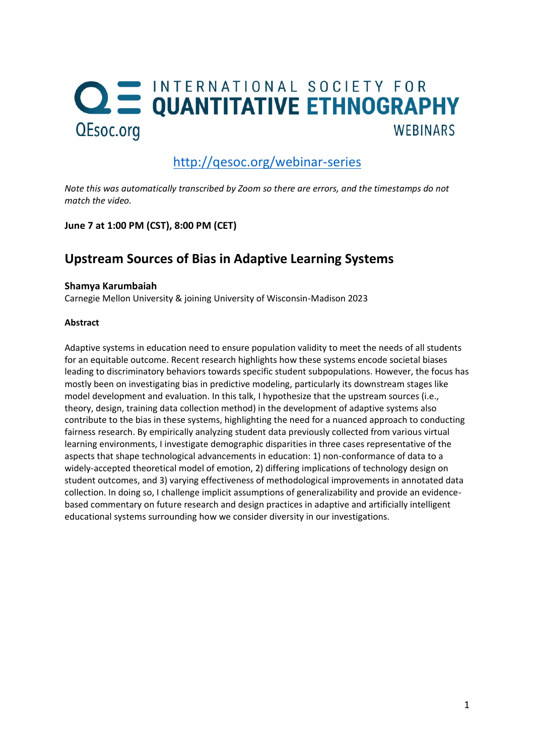# **QE INTERNATIONAL SOCIETY FOR<br>QUANTITATIVE ETHNOGRAPHY** QEsoc.org **WEBINARS**

# <http://qesoc.org/webinar-series>

*Note this was automatically transcribed by Zoom so there are errors, and the timestamps do not match the video.*

**June 7 at 1:00 PM (CST), 8:00 PM (CET)**

# **Upstream Sources of Bias in Adaptive Learning Systems**

### **Shamya Karumbaiah**

Carnegie Mellon University & joining University of Wisconsin-Madison 2023

### **Abstract**

Adaptive systems in education need to ensure population validity to meet the needs of all students for an equitable outcome. Recent research highlights how these systems encode societal biases leading to discriminatory behaviors towards specific student subpopulations. However, the focus has mostly been on investigating bias in predictive modeling, particularly its downstream stages like model development and evaluation. In this talk, I hypothesize that the upstream sources (i.e., theory, design, training data collection method) in the development of adaptive systems also contribute to the bias in these systems, highlighting the need for a nuanced approach to conducting fairness research. By empirically analyzing student data previously collected from various virtual learning environments, I investigate demographic disparities in three cases representative of the aspects that shape technological advancements in education: 1) non-conformance of data to a widely-accepted theoretical model of emotion, 2) differing implications of technology design on student outcomes, and 3) varying effectiveness of methodological improvements in annotated data collection. In doing so, I challenge implicit assumptions of generalizability and provide an evidencebased commentary on future research and design practices in adaptive and artificially intelligent educational systems surrounding how we consider diversity in our investigations.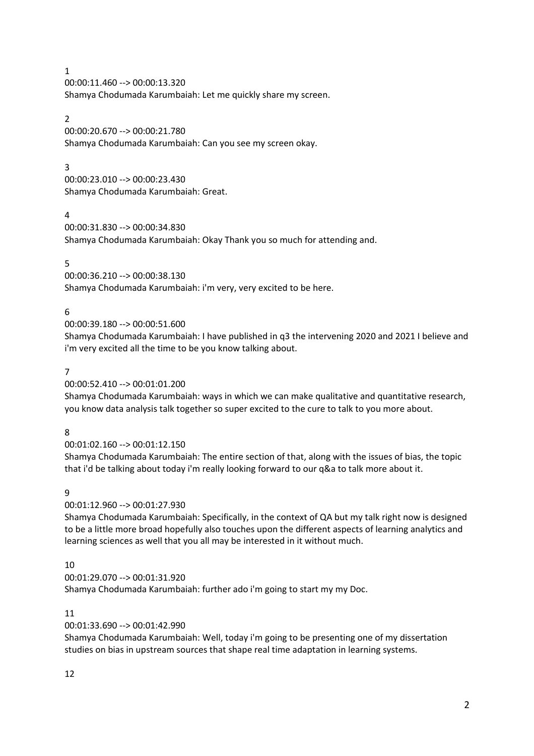00:00:11.460 --> 00:00:13.320 Shamya Chodumada Karumbaiah: Let me quickly share my screen.

#### $\mathfrak{D}$

00:00:20.670 --> 00:00:21.780 Shamya Chodumada Karumbaiah: Can you see my screen okay.

### 3

00:00:23.010 --> 00:00:23.430 Shamya Chodumada Karumbaiah: Great.

### 4

00:00:31.830 --> 00:00:34.830 Shamya Chodumada Karumbaiah: Okay Thank you so much for attending and.

### 5

00:00:36.210 --> 00:00:38.130 Shamya Chodumada Karumbaiah: i'm very, very excited to be here.

### 6

00:00:39.180 --> 00:00:51.600

Shamya Chodumada Karumbaiah: I have published in q3 the intervening 2020 and 2021 I believe and i'm very excited all the time to be you know talking about.

### 7

00:00:52.410 --> 00:01:01.200

Shamya Chodumada Karumbaiah: ways in which we can make qualitative and quantitative research, you know data analysis talk together so super excited to the cure to talk to you more about.

#### 8

00:01:02.160 --> 00:01:12.150

Shamya Chodumada Karumbaiah: The entire section of that, along with the issues of bias, the topic that i'd be talking about today i'm really looking forward to our q&a to talk more about it.

#### 9

#### 00:01:12.960 --> 00:01:27.930

Shamya Chodumada Karumbaiah: Specifically, in the context of QA but my talk right now is designed to be a little more broad hopefully also touches upon the different aspects of learning analytics and learning sciences as well that you all may be interested in it without much.

### 10

00:01:29.070 --> 00:01:31.920

Shamya Chodumada Karumbaiah: further ado i'm going to start my my Doc.

#### 11

#### 00:01:33.690 --> 00:01:42.990

Shamya Chodumada Karumbaiah: Well, today i'm going to be presenting one of my dissertation studies on bias in upstream sources that shape real time adaptation in learning systems.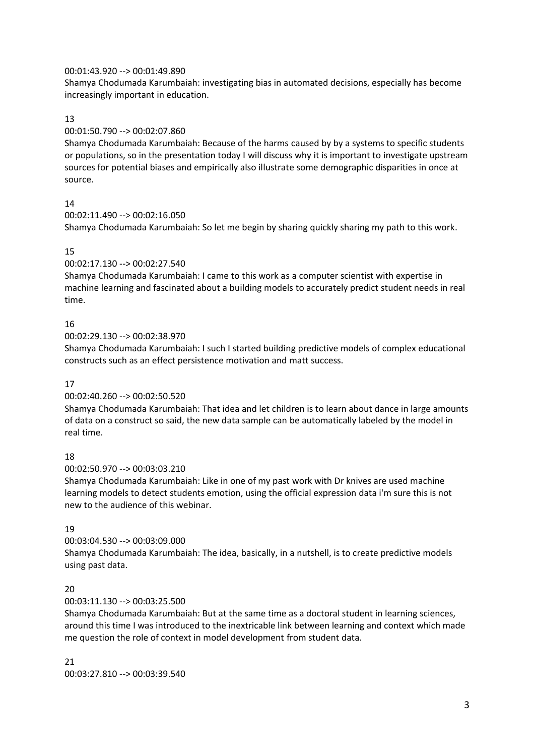#### 00:01:43.920 --> 00:01:49.890

Shamya Chodumada Karumbaiah: investigating bias in automated decisions, especially has become increasingly important in education.

### 13

### 00:01:50.790 --> 00:02:07.860

Shamya Chodumada Karumbaiah: Because of the harms caused by by a systems to specific students or populations, so in the presentation today I will discuss why it is important to investigate upstream sources for potential biases and empirically also illustrate some demographic disparities in once at source.

### 14

```
00:02:11.490 --> 00:02:16.050
```
Shamya Chodumada Karumbaiah: So let me begin by sharing quickly sharing my path to this work.

### 15

### 00:02:17.130 --> 00:02:27.540

Shamya Chodumada Karumbaiah: I came to this work as a computer scientist with expertise in machine learning and fascinated about a building models to accurately predict student needs in real time.

### 16

### 00:02:29.130 --> 00:02:38.970

Shamya Chodumada Karumbaiah: I such I started building predictive models of complex educational constructs such as an effect persistence motivation and matt success.

#### 17

### 00:02:40.260 --> 00:02:50.520

Shamya Chodumada Karumbaiah: That idea and let children is to learn about dance in large amounts of data on a construct so said, the new data sample can be automatically labeled by the model in real time.

### 18

00:02:50.970 --> 00:03:03.210

Shamya Chodumada Karumbaiah: Like in one of my past work with Dr knives are used machine learning models to detect students emotion, using the official expression data i'm sure this is not new to the audience of this webinar.

### 19

### 00:03:04.530 --> 00:03:09.000

Shamya Chodumada Karumbaiah: The idea, basically, in a nutshell, is to create predictive models using past data.

### 20

### 00:03:11.130 --> 00:03:25.500

Shamya Chodumada Karumbaiah: But at the same time as a doctoral student in learning sciences, around this time I was introduced to the inextricable link between learning and context which made me question the role of context in model development from student data.

#### 21

00:03:27.810 --> 00:03:39.540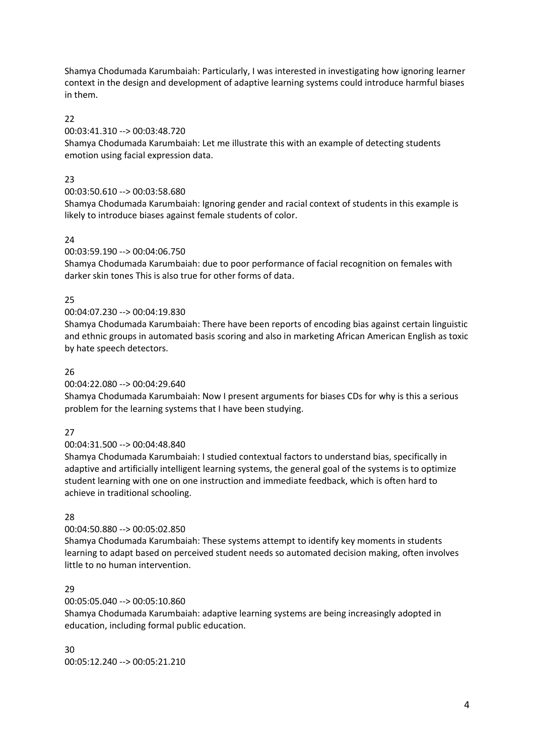Shamya Chodumada Karumbaiah: Particularly, I was interested in investigating how ignoring learner context in the design and development of adaptive learning systems could introduce harmful biases in them.

### $22$

### 00:03:41.310 --> 00:03:48.720

Shamya Chodumada Karumbaiah: Let me illustrate this with an example of detecting students emotion using facial expression data.

### 23

### 00:03:50.610 --> 00:03:58.680

Shamya Chodumada Karumbaiah: Ignoring gender and racial context of students in this example is likely to introduce biases against female students of color.

### 24

### 00:03:59.190 --> 00:04:06.750

Shamya Chodumada Karumbaiah: due to poor performance of facial recognition on females with darker skin tones This is also true for other forms of data.

### 25

### 00:04:07.230 --> 00:04:19.830

Shamya Chodumada Karumbaiah: There have been reports of encoding bias against certain linguistic and ethnic groups in automated basis scoring and also in marketing African American English as toxic by hate speech detectors.

### 26

### 00:04:22.080 --> 00:04:29.640

Shamya Chodumada Karumbaiah: Now I present arguments for biases CDs for why is this a serious problem for the learning systems that I have been studying.

### 27

### 00:04:31.500 --> 00:04:48.840

Shamya Chodumada Karumbaiah: I studied contextual factors to understand bias, specifically in adaptive and artificially intelligent learning systems, the general goal of the systems is to optimize student learning with one on one instruction and immediate feedback, which is often hard to achieve in traditional schooling.

### 28

### 00:04:50.880 --> 00:05:02.850

Shamya Chodumada Karumbaiah: These systems attempt to identify key moments in students learning to adapt based on perceived student needs so automated decision making, often involves little to no human intervention.

### 29

### 00:05:05.040 --> 00:05:10.860

Shamya Chodumada Karumbaiah: adaptive learning systems are being increasingly adopted in education, including formal public education.

30 00:05:12.240 --> 00:05:21.210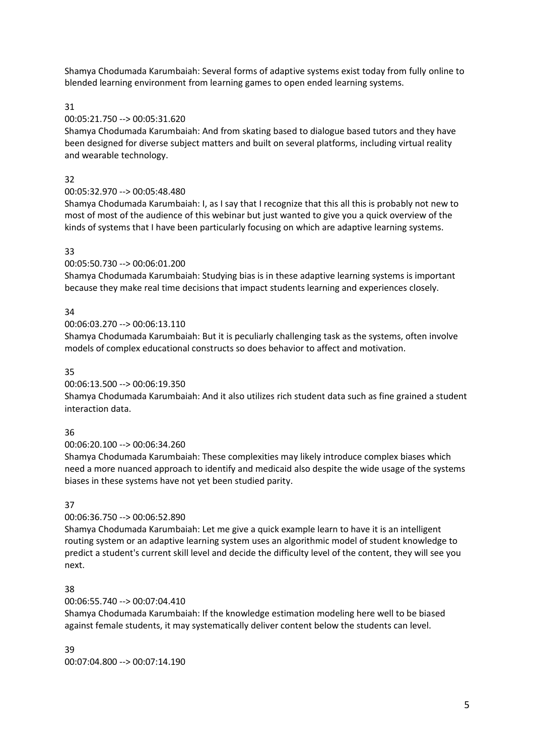Shamya Chodumada Karumbaiah: Several forms of adaptive systems exist today from fully online to blended learning environment from learning games to open ended learning systems.

31

### 00:05:21.750 --> 00:05:31.620

Shamya Chodumada Karumbaiah: And from skating based to dialogue based tutors and they have been designed for diverse subject matters and built on several platforms, including virtual reality and wearable technology.

### 32

### 00:05:32.970 --> 00:05:48.480

Shamya Chodumada Karumbaiah: I, as I say that I recognize that this all this is probably not new to most of most of the audience of this webinar but just wanted to give you a quick overview of the kinds of systems that I have been particularly focusing on which are adaptive learning systems.

#### 33

### 00:05:50.730 --> 00:06:01.200

Shamya Chodumada Karumbaiah: Studying bias is in these adaptive learning systems is important because they make real time decisions that impact students learning and experiences closely.

### 34

### 00:06:03.270 --> 00:06:13.110

Shamya Chodumada Karumbaiah: But it is peculiarly challenging task as the systems, often involve models of complex educational constructs so does behavior to affect and motivation.

### 35

### 00:06:13.500 --> 00:06:19.350

Shamya Chodumada Karumbaiah: And it also utilizes rich student data such as fine grained a student interaction data.

#### 36

#### 00:06:20.100 --> 00:06:34.260

Shamya Chodumada Karumbaiah: These complexities may likely introduce complex biases which need a more nuanced approach to identify and medicaid also despite the wide usage of the systems biases in these systems have not yet been studied parity.

#### 37

### 00:06:36.750 --> 00:06:52.890

Shamya Chodumada Karumbaiah: Let me give a quick example learn to have it is an intelligent routing system or an adaptive learning system uses an algorithmic model of student knowledge to predict a student's current skill level and decide the difficulty level of the content, they will see you next.

### 38

### 00:06:55.740 --> 00:07:04.410

Shamya Chodumada Karumbaiah: If the knowledge estimation modeling here well to be biased against female students, it may systematically deliver content below the students can level.

39 00:07:04.800 --> 00:07:14.190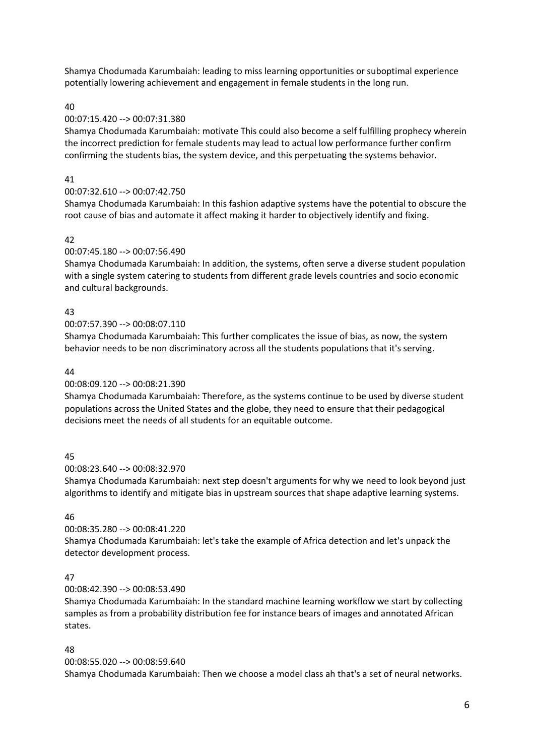Shamya Chodumada Karumbaiah: leading to miss learning opportunities or suboptimal experience potentially lowering achievement and engagement in female students in the long run.

### 40

### 00:07:15.420 --> 00:07:31.380

Shamya Chodumada Karumbaiah: motivate This could also become a self fulfilling prophecy wherein the incorrect prediction for female students may lead to actual low performance further confirm confirming the students bias, the system device, and this perpetuating the systems behavior.

### 41

### 00:07:32.610 --> 00:07:42.750

Shamya Chodumada Karumbaiah: In this fashion adaptive systems have the potential to obscure the root cause of bias and automate it affect making it harder to objectively identify and fixing.

### $\Delta$

### 00:07:45.180 --> 00:07:56.490

Shamya Chodumada Karumbaiah: In addition, the systems, often serve a diverse student population with a single system catering to students from different grade levels countries and socio economic and cultural backgrounds.

### 43

#### 00:07:57.390 --> 00:08:07.110

Shamya Chodumada Karumbaiah: This further complicates the issue of bias, as now, the system behavior needs to be non discriminatory across all the students populations that it's serving.

#### 44

### 00:08:09.120 --> 00:08:21.390

Shamya Chodumada Karumbaiah: Therefore, as the systems continue to be used by diverse student populations across the United States and the globe, they need to ensure that their pedagogical decisions meet the needs of all students for an equitable outcome.

### 45

#### 00:08:23.640 --> 00:08:32.970

Shamya Chodumada Karumbaiah: next step doesn't arguments for why we need to look beyond just algorithms to identify and mitigate bias in upstream sources that shape adaptive learning systems.

#### 46

### 00:08:35.280 --> 00:08:41.220

Shamya Chodumada Karumbaiah: let's take the example of Africa detection and let's unpack the detector development process.

### 47

### 00:08:42.390 --> 00:08:53.490

Shamya Chodumada Karumbaiah: In the standard machine learning workflow we start by collecting samples as from a probability distribution fee for instance bears of images and annotated African states.

### 48

00:08:55.020 --> 00:08:59.640 Shamya Chodumada Karumbaiah: Then we choose a model class ah that's a set of neural networks.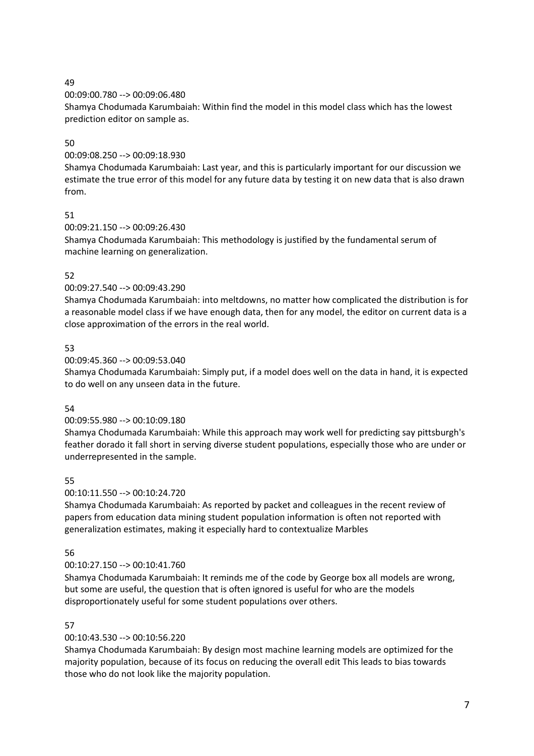00:09:00.780 --> 00:09:06.480

Shamya Chodumada Karumbaiah: Within find the model in this model class which has the lowest prediction editor on sample as.

### 50

00:09:08.250 --> 00:09:18.930

Shamya Chodumada Karumbaiah: Last year, and this is particularly important for our discussion we estimate the true error of this model for any future data by testing it on new data that is also drawn from.

### 51

00:09:21.150 --> 00:09:26.430

Shamya Chodumada Karumbaiah: This methodology is justified by the fundamental serum of machine learning on generalization.

### 52

### 00:09:27.540 --> 00:09:43.290

Shamya Chodumada Karumbaiah: into meltdowns, no matter how complicated the distribution is for a reasonable model class if we have enough data, then for any model, the editor on current data is a close approximation of the errors in the real world.

### 53

### 00:09:45.360 --> 00:09:53.040

Shamya Chodumada Karumbaiah: Simply put, if a model does well on the data in hand, it is expected to do well on any unseen data in the future.

### 54

### 00:09:55.980 --> 00:10:09.180

Shamya Chodumada Karumbaiah: While this approach may work well for predicting say pittsburgh's feather dorado it fall short in serving diverse student populations, especially those who are under or underrepresented in the sample.

### 55

### 00:10:11.550 --> 00:10:24.720

Shamya Chodumada Karumbaiah: As reported by packet and colleagues in the recent review of papers from education data mining student population information is often not reported with generalization estimates, making it especially hard to contextualize Marbles

### 56

### 00:10:27.150 --> 00:10:41.760

Shamya Chodumada Karumbaiah: It reminds me of the code by George box all models are wrong, but some are useful, the question that is often ignored is useful for who are the models disproportionately useful for some student populations over others.

### 57

### 00:10:43.530 --> 00:10:56.220

Shamya Chodumada Karumbaiah: By design most machine learning models are optimized for the majority population, because of its focus on reducing the overall edit This leads to bias towards those who do not look like the majority population.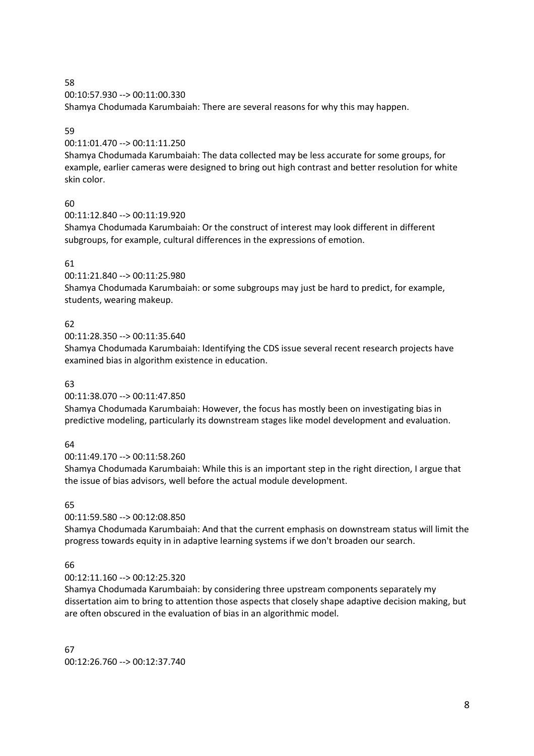00:10:57.930 --> 00:11:00.330

Shamya Chodumada Karumbaiah: There are several reasons for why this may happen.

#### 59

00:11:01.470 --> 00:11:11.250

Shamya Chodumada Karumbaiah: The data collected may be less accurate for some groups, for example, earlier cameras were designed to bring out high contrast and better resolution for white skin color.

### 60

00:11:12.840 --> 00:11:19.920

Shamya Chodumada Karumbaiah: Or the construct of interest may look different in different subgroups, for example, cultural differences in the expressions of emotion.

### 61

00:11:21.840 --> 00:11:25.980

Shamya Chodumada Karumbaiah: or some subgroups may just be hard to predict, for example, students, wearing makeup.

### 62

00:11:28.350 --> 00:11:35.640

Shamya Chodumada Karumbaiah: Identifying the CDS issue several recent research projects have examined bias in algorithm existence in education.

#### 63

00:11:38.070 --> 00:11:47.850

Shamya Chodumada Karumbaiah: However, the focus has mostly been on investigating bias in predictive modeling, particularly its downstream stages like model development and evaluation.

### 64

00:11:49.170 --> 00:11:58.260

Shamya Chodumada Karumbaiah: While this is an important step in the right direction, I argue that the issue of bias advisors, well before the actual module development.

### 65

00:11:59.580 --> 00:12:08.850

Shamya Chodumada Karumbaiah: And that the current emphasis on downstream status will limit the progress towards equity in in adaptive learning systems if we don't broaden our search.

### 66

00:12:11.160 --> 00:12:25.320

Shamya Chodumada Karumbaiah: by considering three upstream components separately my dissertation aim to bring to attention those aspects that closely shape adaptive decision making, but are often obscured in the evaluation of bias in an algorithmic model.

67 00:12:26.760 --> 00:12:37.740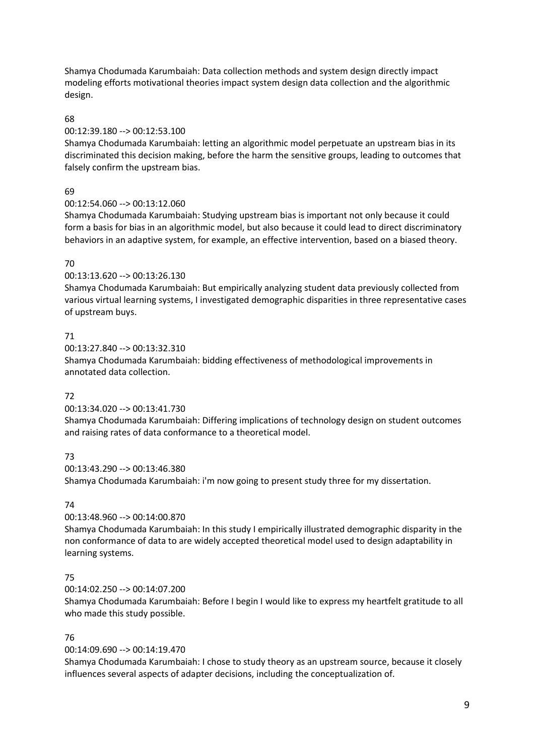Shamya Chodumada Karumbaiah: Data collection methods and system design directly impact modeling efforts motivational theories impact system design data collection and the algorithmic design.

### 68

### 00:12:39.180 --> 00:12:53.100

Shamya Chodumada Karumbaiah: letting an algorithmic model perpetuate an upstream bias in its discriminated this decision making, before the harm the sensitive groups, leading to outcomes that falsely confirm the upstream bias.

### 69

### 00:12:54.060 --> 00:13:12.060

Shamya Chodumada Karumbaiah: Studying upstream bias is important not only because it could form a basis for bias in an algorithmic model, but also because it could lead to direct discriminatory behaviors in an adaptive system, for example, an effective intervention, based on a biased theory.

### 70

### 00:13:13.620 --> 00:13:26.130

Shamya Chodumada Karumbaiah: But empirically analyzing student data previously collected from various virtual learning systems, I investigated demographic disparities in three representative cases of upstream buys.

### 71

00:13:27.840 --> 00:13:32.310 Shamya Chodumada Karumbaiah: bidding effectiveness of methodological improvements in annotated data collection.

### 72

### 00:13:34.020 --> 00:13:41.730

Shamya Chodumada Karumbaiah: Differing implications of technology design on student outcomes and raising rates of data conformance to a theoretical model.

### 73

### 00:13:43.290 --> 00:13:46.380

Shamya Chodumada Karumbaiah: i'm now going to present study three for my dissertation.

### 74

### 00:13:48.960 --> 00:14:00.870

Shamya Chodumada Karumbaiah: In this study I empirically illustrated demographic disparity in the non conformance of data to are widely accepted theoretical model used to design adaptability in learning systems.

### 75

### 00:14:02.250 --> 00:14:07.200

Shamya Chodumada Karumbaiah: Before I begin I would like to express my heartfelt gratitude to all who made this study possible.

### 76

### 00:14:09.690 --> 00:14:19.470

Shamya Chodumada Karumbaiah: I chose to study theory as an upstream source, because it closely influences several aspects of adapter decisions, including the conceptualization of.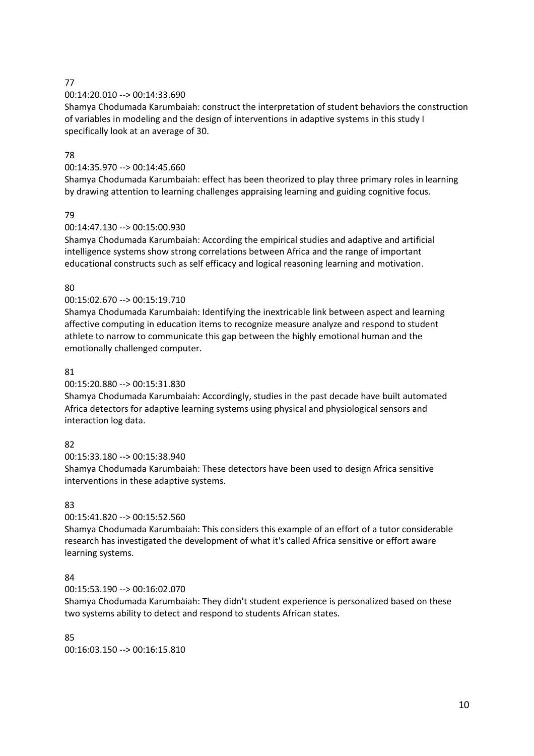### 00:14:20.010 --> 00:14:33.690

Shamya Chodumada Karumbaiah: construct the interpretation of student behaviors the construction of variables in modeling and the design of interventions in adaptive systems in this study I specifically look at an average of 30.

### 78

### 00:14:35.970 --> 00:14:45.660

Shamya Chodumada Karumbaiah: effect has been theorized to play three primary roles in learning by drawing attention to learning challenges appraising learning and guiding cognitive focus.

### 79

### 00:14:47.130 --> 00:15:00.930

Shamya Chodumada Karumbaiah: According the empirical studies and adaptive and artificial intelligence systems show strong correlations between Africa and the range of important educational constructs such as self efficacy and logical reasoning learning and motivation.

### 80

### 00:15:02.670 --> 00:15:19.710

Shamya Chodumada Karumbaiah: Identifying the inextricable link between aspect and learning affective computing in education items to recognize measure analyze and respond to student athlete to narrow to communicate this gap between the highly emotional human and the emotionally challenged computer.

### 81

### 00:15:20.880 --> 00:15:31.830

Shamya Chodumada Karumbaiah: Accordingly, studies in the past decade have built automated Africa detectors for adaptive learning systems using physical and physiological sensors and interaction log data.

### 82

00:15:33.180 --> 00:15:38.940

Shamya Chodumada Karumbaiah: These detectors have been used to design Africa sensitive interventions in these adaptive systems.

### 83

### 00:15:41.820 --> 00:15:52.560

Shamya Chodumada Karumbaiah: This considers this example of an effort of a tutor considerable research has investigated the development of what it's called Africa sensitive or effort aware learning systems.

### 84

### 00:15:53.190 --> 00:16:02.070

Shamya Chodumada Karumbaiah: They didn't student experience is personalized based on these two systems ability to detect and respond to students African states.

85 00:16:03.150 --> 00:16:15.810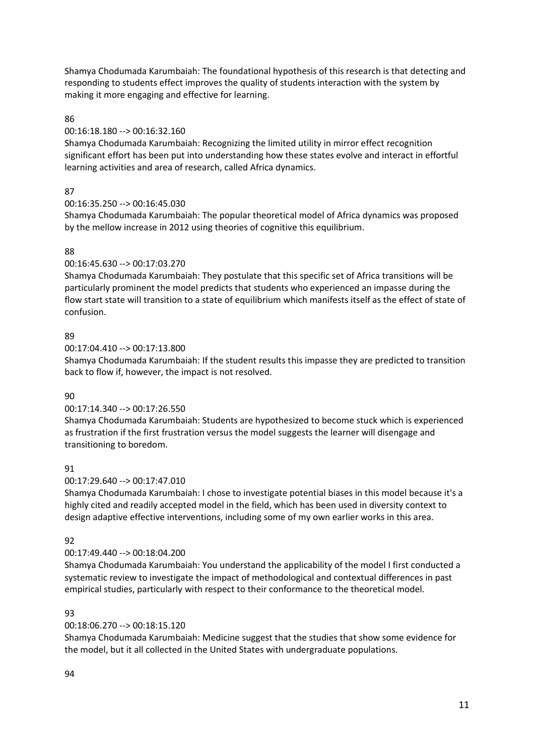Shamya Chodumada Karumbaiah: The foundational hypothesis of this research is that detecting and responding to students effect improves the quality of students interaction with the system by making it more engaging and effective for learning.

### 86

### 00:16:18.180 --> 00:16:32.160

Shamya Chodumada Karumbaiah: Recognizing the limited utility in mirror effect recognition significant effort has been put into understanding how these states evolve and interact in effortful learning activities and area of research, called Africa dynamics.

### 87

### 00:16:35.250 --> 00:16:45.030

Shamya Chodumada Karumbaiah: The popular theoretical model of Africa dynamics was proposed by the mellow increase in 2012 using theories of cognitive this equilibrium.

### 88

### 00:16:45.630 --> 00:17:03.270

Shamya Chodumada Karumbaiah: They postulate that this specific set of Africa transitions will be particularly prominent the model predicts that students who experienced an impasse during the flow start state will transition to a state of equilibrium which manifests itself as the effect of state of confusion.

### 89

00:17:04.410 --> 00:17:13.800

Shamya Chodumada Karumbaiah: If the student results this impasse they are predicted to transition back to flow if, however, the impact is not resolved.

### 90

### 00:17:14.340 --> 00:17:26.550

Shamya Chodumada Karumbaiah: Students are hypothesized to become stuck which is experienced as frustration if the first frustration versus the model suggests the learner will disengage and transitioning to boredom.

### 91

### 00:17:29.640 --> 00:17:47.010

Shamya Chodumada Karumbaiah: I chose to investigate potential biases in this model because it's a highly cited and readily accepted model in the field, which has been used in diversity context to design adaptive effective interventions, including some of my own earlier works in this area.

### $Q<sub>2</sub>$

### 00:17:49.440 --> 00:18:04.200

Shamya Chodumada Karumbaiah: You understand the applicability of the model I first conducted a systematic review to investigate the impact of methodological and contextual differences in past empirical studies, particularly with respect to their conformance to the theoretical model.

### 93

### 00:18:06.270 --> 00:18:15.120

Shamya Chodumada Karumbaiah: Medicine suggest that the studies that show some evidence for the model, but it all collected in the United States with undergraduate populations.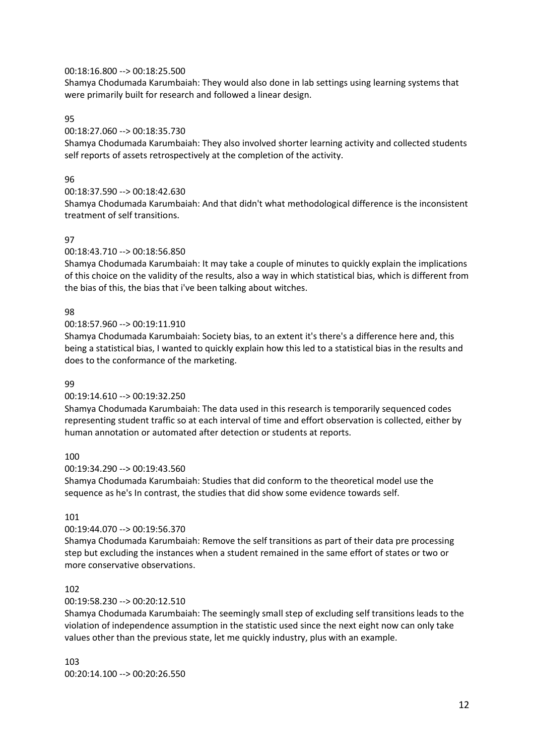#### 00:18:16.800 --> 00:18:25.500

Shamya Chodumada Karumbaiah: They would also done in lab settings using learning systems that were primarily built for research and followed a linear design.

#### 95

### 00:18:27.060 --> 00:18:35.730

Shamya Chodumada Karumbaiah: They also involved shorter learning activity and collected students self reports of assets retrospectively at the completion of the activity.

#### 96

#### 00:18:37.590 --> 00:18:42.630

Shamya Chodumada Karumbaiah: And that didn't what methodological difference is the inconsistent treatment of self transitions.

#### 97

### 00:18:43.710 --> 00:18:56.850

Shamya Chodumada Karumbaiah: It may take a couple of minutes to quickly explain the implications of this choice on the validity of the results, also a way in which statistical bias, which is different from the bias of this, the bias that i've been talking about witches.

#### 98

#### 00:18:57.960 --> 00:19:11.910

Shamya Chodumada Karumbaiah: Society bias, to an extent it's there's a difference here and, this being a statistical bias, I wanted to quickly explain how this led to a statistical bias in the results and does to the conformance of the marketing.

#### 99

#### 00:19:14.610 --> 00:19:32.250

Shamya Chodumada Karumbaiah: The data used in this research is temporarily sequenced codes representing student traffic so at each interval of time and effort observation is collected, either by human annotation or automated after detection or students at reports.

#### 100

#### 00:19:34.290 --> 00:19:43.560

Shamya Chodumada Karumbaiah: Studies that did conform to the theoretical model use the sequence as he's In contrast, the studies that did show some evidence towards self.

#### 101

#### 00:19:44.070 --> 00:19:56.370

Shamya Chodumada Karumbaiah: Remove the self transitions as part of their data pre processing step but excluding the instances when a student remained in the same effort of states or two or more conservative observations.

#### 102

#### 00:19:58.230 --> 00:20:12.510

Shamya Chodumada Karumbaiah: The seemingly small step of excluding self transitions leads to the violation of independence assumption in the statistic used since the next eight now can only take values other than the previous state, let me quickly industry, plus with an example.

103 00:20:14.100 --> 00:20:26.550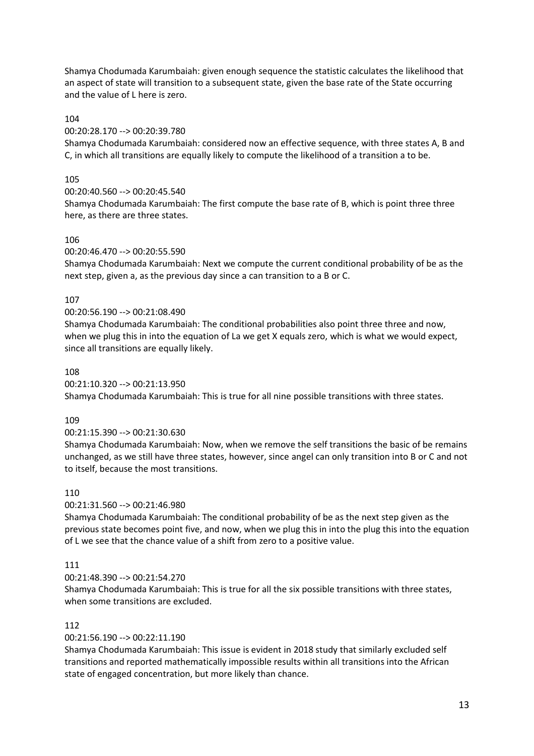Shamya Chodumada Karumbaiah: given enough sequence the statistic calculates the likelihood that an aspect of state will transition to a subsequent state, given the base rate of the State occurring and the value of L here is zero.

### 104

#### 00:20:28.170 --> 00:20:39.780

Shamya Chodumada Karumbaiah: considered now an effective sequence, with three states A, B and C, in which all transitions are equally likely to compute the likelihood of a transition a to be.

#### 105

00:20:40.560 --> 00:20:45.540 Shamya Chodumada Karumbaiah: The first compute the base rate of B, which is point three three here, as there are three states.

#### 106

#### 00:20:46.470 --> 00:20:55.590

Shamya Chodumada Karumbaiah: Next we compute the current conditional probability of be as the next step, given a, as the previous day since a can transition to a B or C.

#### 107

#### 00:20:56.190 --> 00:21:08.490

Shamya Chodumada Karumbaiah: The conditional probabilities also point three three and now, when we plug this in into the equation of La we get X equals zero, which is what we would expect, since all transitions are equally likely.

#### 108

#### 00:21:10.320 --> 00:21:13.950

Shamya Chodumada Karumbaiah: This is true for all nine possible transitions with three states.

#### 109

#### 00:21:15.390 --> 00:21:30.630

Shamya Chodumada Karumbaiah: Now, when we remove the self transitions the basic of be remains unchanged, as we still have three states, however, since angel can only transition into B or C and not to itself, because the most transitions.

#### 110

#### 00:21:31.560 --> 00:21:46.980

Shamya Chodumada Karumbaiah: The conditional probability of be as the next step given as the previous state becomes point five, and now, when we plug this in into the plug this into the equation of L we see that the chance value of a shift from zero to a positive value.

#### 111

#### 00:21:48.390 --> 00:21:54.270

Shamya Chodumada Karumbaiah: This is true for all the six possible transitions with three states, when some transitions are excluded.

#### 112

#### 00:21:56.190 --> 00:22:11.190

Shamya Chodumada Karumbaiah: This issue is evident in 2018 study that similarly excluded self transitions and reported mathematically impossible results within all transitions into the African state of engaged concentration, but more likely than chance.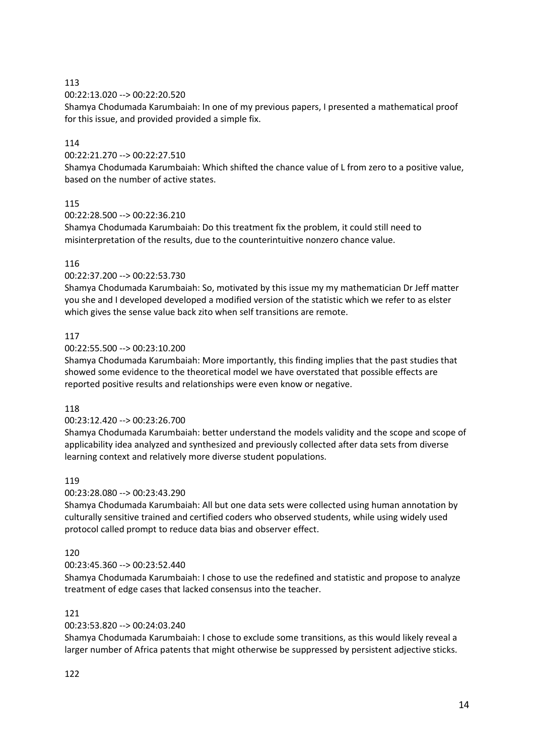00:22:13.020 --> 00:22:20.520

Shamya Chodumada Karumbaiah: In one of my previous papers, I presented a mathematical proof for this issue, and provided provided a simple fix.

### 114

00:22:21.270 --> 00:22:27.510

Shamya Chodumada Karumbaiah: Which shifted the chance value of L from zero to a positive value, based on the number of active states.

### 115

00:22:28.500 --> 00:22:36.210

Shamya Chodumada Karumbaiah: Do this treatment fix the problem, it could still need to misinterpretation of the results, due to the counterintuitive nonzero chance value.

### 116

#### 00:22:37.200 --> 00:22:53.730

Shamya Chodumada Karumbaiah: So, motivated by this issue my my mathematician Dr Jeff matter you she and I developed developed a modified version of the statistic which we refer to as elster which gives the sense value back zito when self transitions are remote.

### 117

#### 00:22:55.500 --> 00:23:10.200

Shamya Chodumada Karumbaiah: More importantly, this finding implies that the past studies that showed some evidence to the theoretical model we have overstated that possible effects are reported positive results and relationships were even know or negative.

#### 118

#### 00:23:12.420 --> 00:23:26.700

Shamya Chodumada Karumbaiah: better understand the models validity and the scope and scope of applicability idea analyzed and synthesized and previously collected after data sets from diverse learning context and relatively more diverse student populations.

#### 119

#### 00:23:28.080 --> 00:23:43.290

Shamya Chodumada Karumbaiah: All but one data sets were collected using human annotation by culturally sensitive trained and certified coders who observed students, while using widely used protocol called prompt to reduce data bias and observer effect.

#### 120

### 00:23:45.360 --> 00:23:52.440

Shamya Chodumada Karumbaiah: I chose to use the redefined and statistic and propose to analyze treatment of edge cases that lacked consensus into the teacher.

### 121

#### 00:23:53.820 --> 00:24:03.240

Shamya Chodumada Karumbaiah: I chose to exclude some transitions, as this would likely reveal a larger number of Africa patents that might otherwise be suppressed by persistent adjective sticks.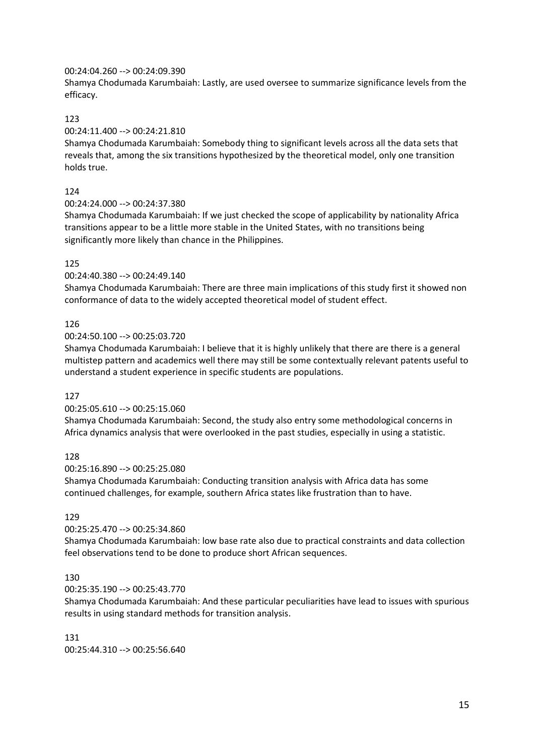#### 00:24:04.260 --> 00:24:09.390

Shamya Chodumada Karumbaiah: Lastly, are used oversee to summarize significance levels from the efficacy.

### 123

### 00:24:11.400 --> 00:24:21.810

Shamya Chodumada Karumbaiah: Somebody thing to significant levels across all the data sets that reveals that, among the six transitions hypothesized by the theoretical model, only one transition holds true.

### 124

#### 00:24:24.000 --> 00:24:37.380

Shamya Chodumada Karumbaiah: If we just checked the scope of applicability by nationality Africa transitions appear to be a little more stable in the United States, with no transitions being significantly more likely than chance in the Philippines.

### 125

### 00:24:40.380 --> 00:24:49.140

Shamya Chodumada Karumbaiah: There are three main implications of this study first it showed non conformance of data to the widely accepted theoretical model of student effect.

### 126

#### 00:24:50.100 --> 00:25:03.720

Shamya Chodumada Karumbaiah: I believe that it is highly unlikely that there are there is a general multistep pattern and academics well there may still be some contextually relevant patents useful to understand a student experience in specific students are populations.

#### 127

### 00:25:05.610 --> 00:25:15.060

Shamya Chodumada Karumbaiah: Second, the study also entry some methodological concerns in Africa dynamics analysis that were overlooked in the past studies, especially in using a statistic.

### 128

#### 00:25:16.890 --> 00:25:25.080

Shamya Chodumada Karumbaiah: Conducting transition analysis with Africa data has some continued challenges, for example, southern Africa states like frustration than to have.

#### 129

#### 00:25:25.470 --> 00:25:34.860

Shamya Chodumada Karumbaiah: low base rate also due to practical constraints and data collection feel observations tend to be done to produce short African sequences.

#### 130

#### 00:25:35.190 --> 00:25:43.770

Shamya Chodumada Karumbaiah: And these particular peculiarities have lead to issues with spurious results in using standard methods for transition analysis.

#### 131

00:25:44.310 --> 00:25:56.640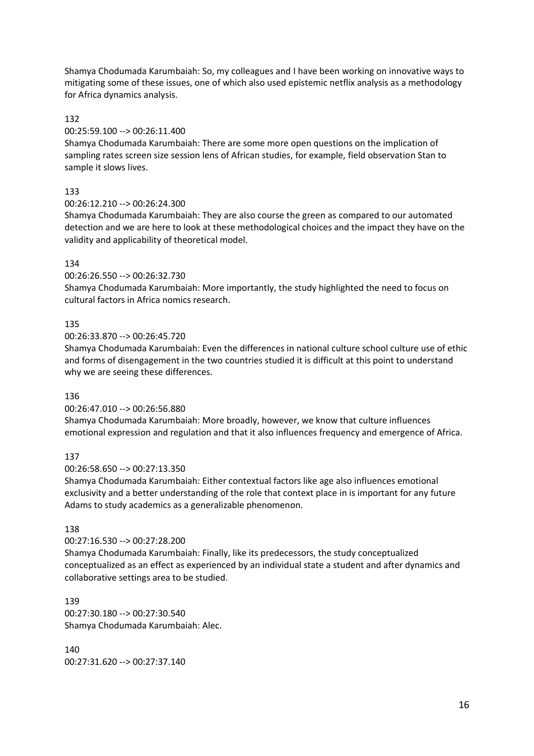Shamya Chodumada Karumbaiah: So, my colleagues and I have been working on innovative ways to mitigating some of these issues, one of which also used epistemic netflix analysis as a methodology for Africa dynamics analysis.

#### 132

#### 00:25:59.100 --> 00:26:11.400

Shamya Chodumada Karumbaiah: There are some more open questions on the implication of sampling rates screen size session lens of African studies, for example, field observation Stan to sample it slows lives.

#### 133

### 00:26:12.210 --> 00:26:24.300

Shamya Chodumada Karumbaiah: They are also course the green as compared to our automated detection and we are here to look at these methodological choices and the impact they have on the validity and applicability of theoretical model.

#### 134

#### 00:26:26.550 --> 00:26:32.730

Shamya Chodumada Karumbaiah: More importantly, the study highlighted the need to focus on cultural factors in Africa nomics research.

#### 135

#### 00:26:33.870 --> 00:26:45.720

Shamya Chodumada Karumbaiah: Even the differences in national culture school culture use of ethic and forms of disengagement in the two countries studied it is difficult at this point to understand why we are seeing these differences.

#### 136

#### 00:26:47.010 --> 00:26:56.880

Shamya Chodumada Karumbaiah: More broadly, however, we know that culture influences emotional expression and regulation and that it also influences frequency and emergence of Africa.

#### 137

#### 00:26:58.650 --> 00:27:13.350

Shamya Chodumada Karumbaiah: Either contextual factors like age also influences emotional exclusivity and a better understanding of the role that context place in is important for any future Adams to study academics as a generalizable phenomenon.

#### 138

#### 00:27:16.530 --> 00:27:28.200

Shamya Chodumada Karumbaiah: Finally, like its predecessors, the study conceptualized conceptualized as an effect as experienced by an individual state a student and after dynamics and collaborative settings area to be studied.

#### 139

00:27:30.180 --> 00:27:30.540 Shamya Chodumada Karumbaiah: Alec.

# 140

00:27:31.620 --> 00:27:37.140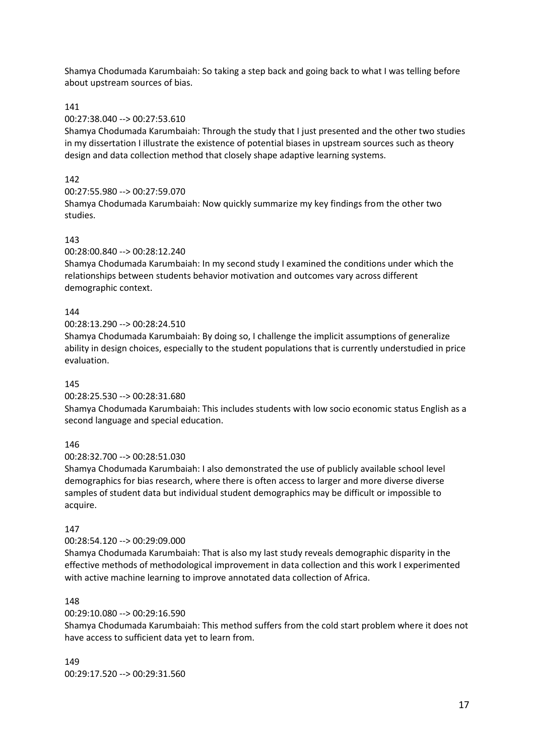Shamya Chodumada Karumbaiah: So taking a step back and going back to what I was telling before about upstream sources of bias.

### 141

#### 00:27:38.040 --> 00:27:53.610

Shamya Chodumada Karumbaiah: Through the study that I just presented and the other two studies in my dissertation I illustrate the existence of potential biases in upstream sources such as theory design and data collection method that closely shape adaptive learning systems.

### $142$

```
00:27:55.980 --> 00:27:59.070
```
Shamya Chodumada Karumbaiah: Now quickly summarize my key findings from the other two studies.

### 143

### 00:28:00.840 --> 00:28:12.240

Shamya Chodumada Karumbaiah: In my second study I examined the conditions under which the relationships between students behavior motivation and outcomes vary across different demographic context.

#### 144

#### 00:28:13.290 --> 00:28:24.510

Shamya Chodumada Karumbaiah: By doing so, I challenge the implicit assumptions of generalize ability in design choices, especially to the student populations that is currently understudied in price evaluation.

#### 145

#### 00:28:25.530 --> 00:28:31.680

Shamya Chodumada Karumbaiah: This includes students with low socio economic status English as a second language and special education.

#### 146

### 00:28:32.700 --> 00:28:51.030

Shamya Chodumada Karumbaiah: I also demonstrated the use of publicly available school level demographics for bias research, where there is often access to larger and more diverse diverse samples of student data but individual student demographics may be difficult or impossible to acquire.

#### 147

#### 00:28:54.120 --> 00:29:09.000

Shamya Chodumada Karumbaiah: That is also my last study reveals demographic disparity in the effective methods of methodological improvement in data collection and this work I experimented with active machine learning to improve annotated data collection of Africa.

#### 148

#### 00:29:10.080 --> 00:29:16.590

Shamya Chodumada Karumbaiah: This method suffers from the cold start problem where it does not have access to sufficient data yet to learn from.

# 149

00:29:17.520 --> 00:29:31.560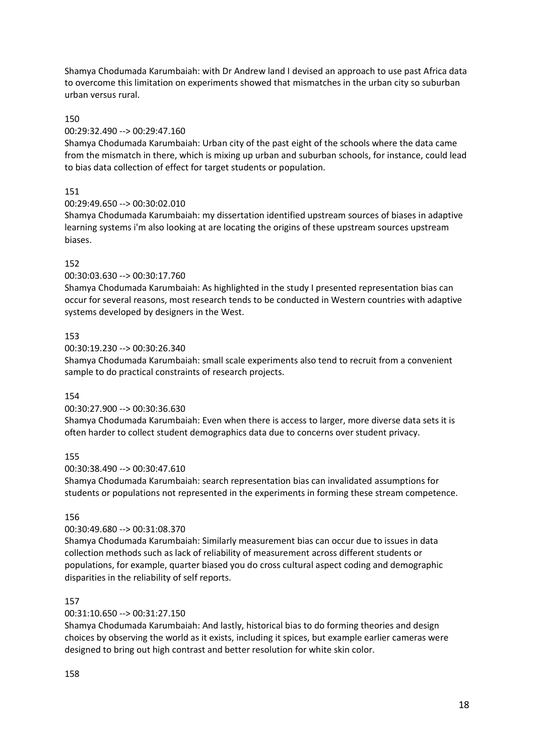Shamya Chodumada Karumbaiah: with Dr Andrew land I devised an approach to use past Africa data to overcome this limitation on experiments showed that mismatches in the urban city so suburban urban versus rural.

#### 150

#### 00:29:32.490 --> 00:29:47.160

Shamya Chodumada Karumbaiah: Urban city of the past eight of the schools where the data came from the mismatch in there, which is mixing up urban and suburban schools, for instance, could lead to bias data collection of effect for target students or population.

#### 151

#### 00:29:49.650 --> 00:30:02.010

Shamya Chodumada Karumbaiah: my dissertation identified upstream sources of biases in adaptive learning systems i'm also looking at are locating the origins of these upstream sources upstream biases.

#### 152

00:30:03.630 --> 00:30:17.760

Shamya Chodumada Karumbaiah: As highlighted in the study I presented representation bias can occur for several reasons, most research tends to be conducted in Western countries with adaptive systems developed by designers in the West.

#### 153

00:30:19.230 --> 00:30:26.340

Shamya Chodumada Karumbaiah: small scale experiments also tend to recruit from a convenient sample to do practical constraints of research projects.

#### 154

#### 00:30:27.900 --> 00:30:36.630

Shamya Chodumada Karumbaiah: Even when there is access to larger, more diverse data sets it is often harder to collect student demographics data due to concerns over student privacy.

#### 155

#### 00:30:38.490 --> 00:30:47.610

Shamya Chodumada Karumbaiah: search representation bias can invalidated assumptions for students or populations not represented in the experiments in forming these stream competence.

#### 156

#### 00:30:49.680 --> 00:31:08.370

Shamya Chodumada Karumbaiah: Similarly measurement bias can occur due to issues in data collection methods such as lack of reliability of measurement across different students or populations, for example, quarter biased you do cross cultural aspect coding and demographic disparities in the reliability of self reports.

#### 157

#### 00:31:10.650 --> 00:31:27.150

Shamya Chodumada Karumbaiah: And lastly, historical bias to do forming theories and design choices by observing the world as it exists, including it spices, but example earlier cameras were designed to bring out high contrast and better resolution for white skin color.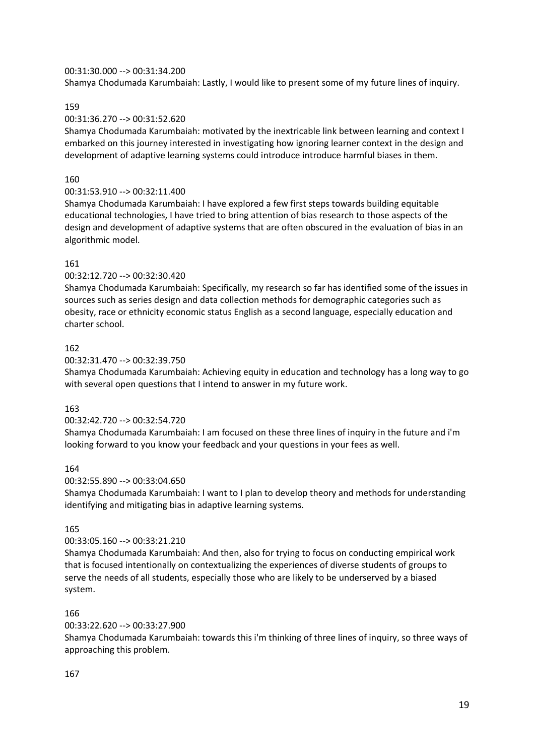#### 00:31:30.000 --> 00:31:34.200

Shamya Chodumada Karumbaiah: Lastly, I would like to present some of my future lines of inquiry.

### 159

### 00:31:36.270 --> 00:31:52.620

Shamya Chodumada Karumbaiah: motivated by the inextricable link between learning and context I embarked on this journey interested in investigating how ignoring learner context in the design and development of adaptive learning systems could introduce introduce harmful biases in them.

### 160

### 00:31:53.910 --> 00:32:11.400

Shamya Chodumada Karumbaiah: I have explored a few first steps towards building equitable educational technologies, I have tried to bring attention of bias research to those aspects of the design and development of adaptive systems that are often obscured in the evaluation of bias in an algorithmic model.

### 161

### 00:32:12.720 --> 00:32:30.420

Shamya Chodumada Karumbaiah: Specifically, my research so far has identified some of the issues in sources such as series design and data collection methods for demographic categories such as obesity, race or ethnicity economic status English as a second language, especially education and charter school.

### 162

00:32:31.470 --> 00:32:39.750

Shamya Chodumada Karumbaiah: Achieving equity in education and technology has a long way to go with several open questions that I intend to answer in my future work.

#### 163

#### 00:32:42.720 --> 00:32:54.720

Shamya Chodumada Karumbaiah: I am focused on these three lines of inquiry in the future and i'm looking forward to you know your feedback and your questions in your fees as well.

#### 164

#### 00:32:55.890 --> 00:33:04.650

Shamya Chodumada Karumbaiah: I want to I plan to develop theory and methods for understanding identifying and mitigating bias in adaptive learning systems.

#### 165

#### 00:33:05.160 --> 00:33:21.210

Shamya Chodumada Karumbaiah: And then, also for trying to focus on conducting empirical work that is focused intentionally on contextualizing the experiences of diverse students of groups to serve the needs of all students, especially those who are likely to be underserved by a biased system.

#### 166

#### 00:33:22.620 --> 00:33:27.900

Shamya Chodumada Karumbaiah: towards this i'm thinking of three lines of inquiry, so three ways of approaching this problem.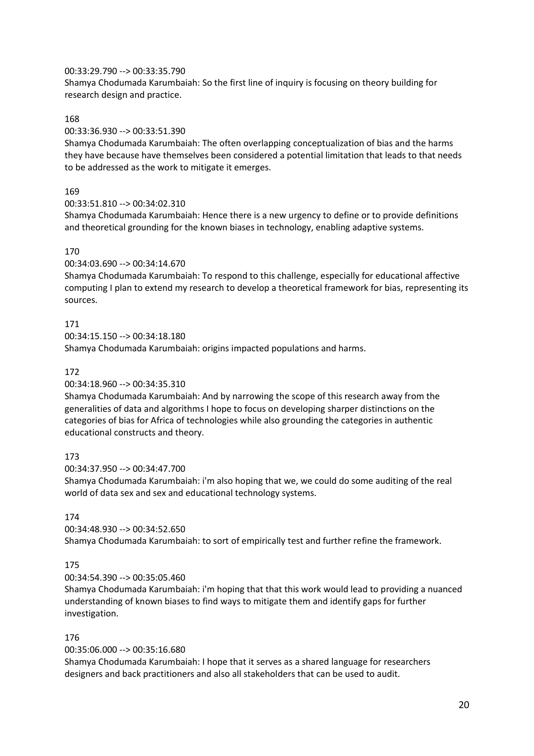#### 00:33:29.790 --> 00:33:35.790

Shamya Chodumada Karumbaiah: So the first line of inquiry is focusing on theory building for research design and practice.

#### 168

#### 00:33:36.930 --> 00:33:51.390

Shamya Chodumada Karumbaiah: The often overlapping conceptualization of bias and the harms they have because have themselves been considered a potential limitation that leads to that needs to be addressed as the work to mitigate it emerges.

#### 169

#### 00:33:51.810 --> 00:34:02.310

Shamya Chodumada Karumbaiah: Hence there is a new urgency to define or to provide definitions and theoretical grounding for the known biases in technology, enabling adaptive systems.

#### 170

#### 00:34:03.690 --> 00:34:14.670

Shamya Chodumada Karumbaiah: To respond to this challenge, especially for educational affective computing I plan to extend my research to develop a theoretical framework for bias, representing its sources.

#### 171

00:34:15.150 --> 00:34:18.180

Shamya Chodumada Karumbaiah: origins impacted populations and harms.

#### 172

#### 00:34:18.960 --> 00:34:35.310

Shamya Chodumada Karumbaiah: And by narrowing the scope of this research away from the generalities of data and algorithms I hope to focus on developing sharper distinctions on the categories of bias for Africa of technologies while also grounding the categories in authentic educational constructs and theory.

#### 173

#### 00:34:37.950 --> 00:34:47.700

Shamya Chodumada Karumbaiah: i'm also hoping that we, we could do some auditing of the real world of data sex and sex and educational technology systems.

### 174

#### 00:34:48.930 --> 00:34:52.650

Shamya Chodumada Karumbaiah: to sort of empirically test and further refine the framework.

### 175

### 00:34:54.390 --> 00:35:05.460

Shamya Chodumada Karumbaiah: i'm hoping that that this work would lead to providing a nuanced understanding of known biases to find ways to mitigate them and identify gaps for further investigation.

#### 176

#### 00:35:06.000 --> 00:35:16.680

Shamya Chodumada Karumbaiah: I hope that it serves as a shared language for researchers designers and back practitioners and also all stakeholders that can be used to audit.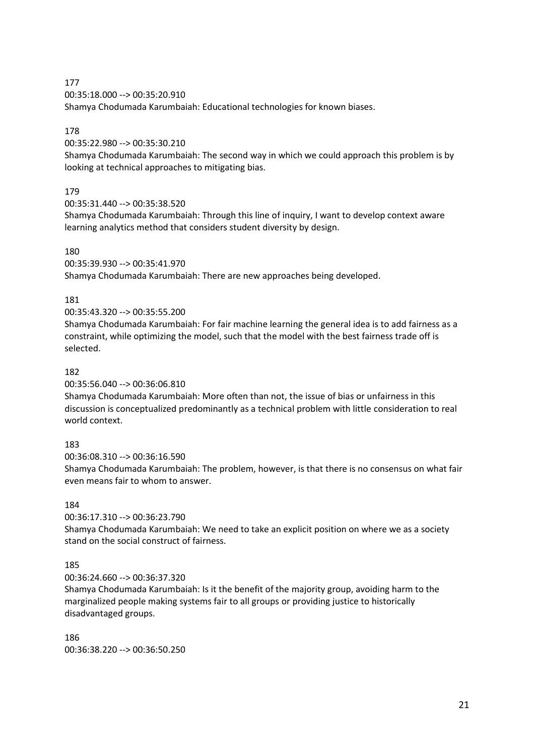00:35:18.000 --> 00:35:20.910

Shamya Chodumada Karumbaiah: Educational technologies for known biases.

### 178

00:35:22.980 --> 00:35:30.210

Shamya Chodumada Karumbaiah: The second way in which we could approach this problem is by looking at technical approaches to mitigating bias.

### 179

00:35:31.440 --> 00:35:38.520

Shamya Chodumada Karumbaiah: Through this line of inquiry, I want to develop context aware learning analytics method that considers student diversity by design.

#### 180

00:35:39.930 --> 00:35:41.970 Shamya Chodumada Karumbaiah: There are new approaches being developed.

### 181

00:35:43.320 --> 00:35:55.200

Shamya Chodumada Karumbaiah: For fair machine learning the general idea is to add fairness as a constraint, while optimizing the model, such that the model with the best fairness trade off is selected.

### 182

00:35:56.040 --> 00:36:06.810

Shamya Chodumada Karumbaiah: More often than not, the issue of bias or unfairness in this discussion is conceptualized predominantly as a technical problem with little consideration to real world context.

#### 183

00:36:08.310 --> 00:36:16.590

Shamya Chodumada Karumbaiah: The problem, however, is that there is no consensus on what fair even means fair to whom to answer.

### 184

00:36:17.310 --> 00:36:23.790

Shamya Chodumada Karumbaiah: We need to take an explicit position on where we as a society stand on the social construct of fairness.

#### 185

00:36:24.660 --> 00:36:37.320

Shamya Chodumada Karumbaiah: Is it the benefit of the majority group, avoiding harm to the marginalized people making systems fair to all groups or providing justice to historically disadvantaged groups.

#### 186

00:36:38.220 --> 00:36:50.250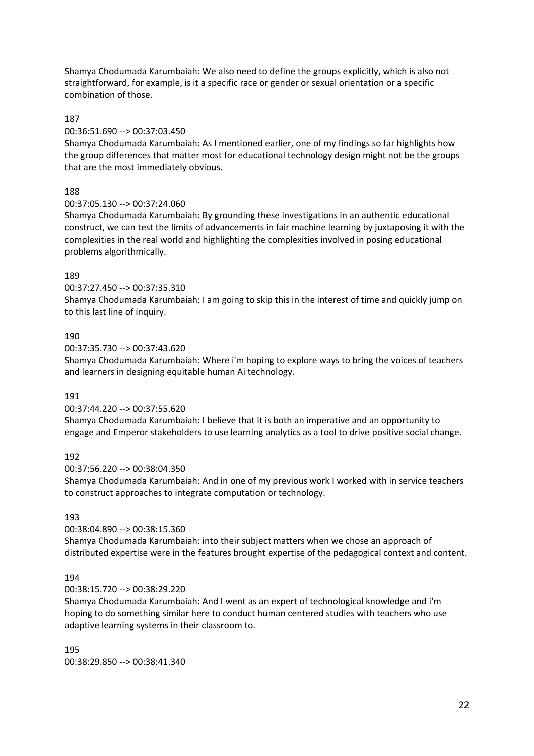Shamya Chodumada Karumbaiah: We also need to define the groups explicitly, which is also not straightforward, for example, is it a specific race or gender or sexual orientation or a specific combination of those.

#### 187

#### 00:36:51.690 --> 00:37:03.450

Shamya Chodumada Karumbaiah: As I mentioned earlier, one of my findings so far highlights how the group differences that matter most for educational technology design might not be the groups that are the most immediately obvious.

#### 188

#### 00:37:05.130 --> 00:37:24.060

Shamya Chodumada Karumbaiah: By grounding these investigations in an authentic educational construct, we can test the limits of advancements in fair machine learning by juxtaposing it with the complexities in the real world and highlighting the complexities involved in posing educational problems algorithmically.

#### 189

#### 00:37:27.450 --> 00:37:35.310

Shamya Chodumada Karumbaiah: I am going to skip this in the interest of time and quickly jump on to this last line of inquiry.

#### 190

00:37:35.730 --> 00:37:43.620

Shamya Chodumada Karumbaiah: Where i'm hoping to explore ways to bring the voices of teachers and learners in designing equitable human Ai technology.

#### 191

#### 00:37:44.220 --> 00:37:55.620

Shamya Chodumada Karumbaiah: I believe that it is both an imperative and an opportunity to engage and Emperor stakeholders to use learning analytics as a tool to drive positive social change.

#### 192

#### 00:37:56.220 --> 00:38:04.350

Shamya Chodumada Karumbaiah: And in one of my previous work I worked with in service teachers to construct approaches to integrate computation or technology.

#### 193

#### 00:38:04.890 --> 00:38:15.360

Shamya Chodumada Karumbaiah: into their subject matters when we chose an approach of distributed expertise were in the features brought expertise of the pedagogical context and content.

#### 194

#### 00:38:15.720 --> 00:38:29.220

Shamya Chodumada Karumbaiah: And I went as an expert of technological knowledge and i'm hoping to do something similar here to conduct human centered studies with teachers who use adaptive learning systems in their classroom to.

195 00:38:29.850 --> 00:38:41.340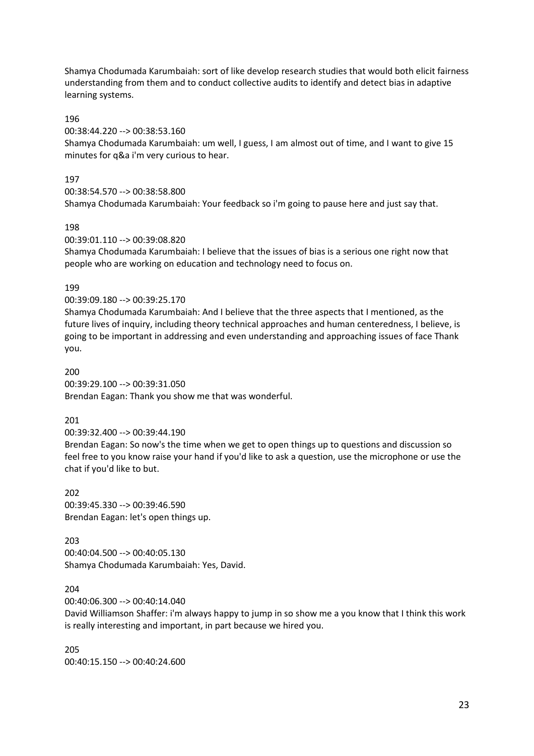Shamya Chodumada Karumbaiah: sort of like develop research studies that would both elicit fairness understanding from them and to conduct collective audits to identify and detect bias in adaptive learning systems.

#### 196

00:38:44.220 --> 00:38:53.160

Shamya Chodumada Karumbaiah: um well, I guess, I am almost out of time, and I want to give 15 minutes for q&a i'm very curious to hear.

#### 197

00:38:54.570 --> 00:38:58.800

Shamya Chodumada Karumbaiah: Your feedback so i'm going to pause here and just say that.

#### 198

00:39:01.110 --> 00:39:08.820

Shamya Chodumada Karumbaiah: I believe that the issues of bias is a serious one right now that people who are working on education and technology need to focus on.

#### 199

00:39:09.180 --> 00:39:25.170

Shamya Chodumada Karumbaiah: And I believe that the three aspects that I mentioned, as the future lives of inquiry, including theory technical approaches and human centeredness, I believe, is going to be important in addressing and even understanding and approaching issues of face Thank you.

200 00:39:29.100 --> 00:39:31.050 Brendan Eagan: Thank you show me that was wonderful.

#### 201

00:39:32.400 --> 00:39:44.190

Brendan Eagan: So now's the time when we get to open things up to questions and discussion so feel free to you know raise your hand if you'd like to ask a question, use the microphone or use the chat if you'd like to but.

202 00:39:45.330 --> 00:39:46.590 Brendan Eagan: let's open things up.

203 00:40:04.500 --> 00:40:05.130 Shamya Chodumada Karumbaiah: Yes, David.

204

00:40:06.300 --> 00:40:14.040

David Williamson Shaffer: i'm always happy to jump in so show me a you know that I think this work is really interesting and important, in part because we hired you.

205 00:40:15.150 --> 00:40:24.600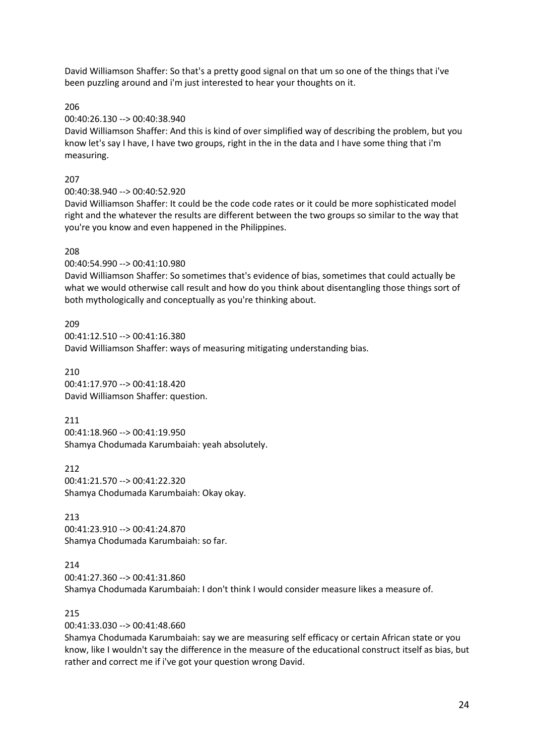David Williamson Shaffer: So that's a pretty good signal on that um so one of the things that i've been puzzling around and i'm just interested to hear your thoughts on it.

206

00:40:26.130 --> 00:40:38.940

David Williamson Shaffer: And this is kind of over simplified way of describing the problem, but you know let's say I have, I have two groups, right in the in the data and I have some thing that i'm measuring.

### 207

00:40:38.940 --> 00:40:52.920

David Williamson Shaffer: It could be the code code rates or it could be more sophisticated model right and the whatever the results are different between the two groups so similar to the way that you're you know and even happened in the Philippines.

### 208

00:40:54.990 --> 00:41:10.980

David Williamson Shaffer: So sometimes that's evidence of bias, sometimes that could actually be what we would otherwise call result and how do you think about disentangling those things sort of both mythologically and conceptually as you're thinking about.

209 00:41:12.510 --> 00:41:16.380 David Williamson Shaffer: ways of measuring mitigating understanding bias.

210 00:41:17.970 --> 00:41:18.420 David Williamson Shaffer: question.

211 00:41:18.960 --> 00:41:19.950 Shamya Chodumada Karumbaiah: yeah absolutely.

212 00:41:21.570 --> 00:41:22.320 Shamya Chodumada Karumbaiah: Okay okay.

213 00:41:23.910 --> 00:41:24.870 Shamya Chodumada Karumbaiah: so far.

214

00:41:27.360 --> 00:41:31.860

Shamya Chodumada Karumbaiah: I don't think I would consider measure likes a measure of.

### 215

00:41:33.030 --> 00:41:48.660

Shamya Chodumada Karumbaiah: say we are measuring self efficacy or certain African state or you know, like I wouldn't say the difference in the measure of the educational construct itself as bias, but rather and correct me if i've got your question wrong David.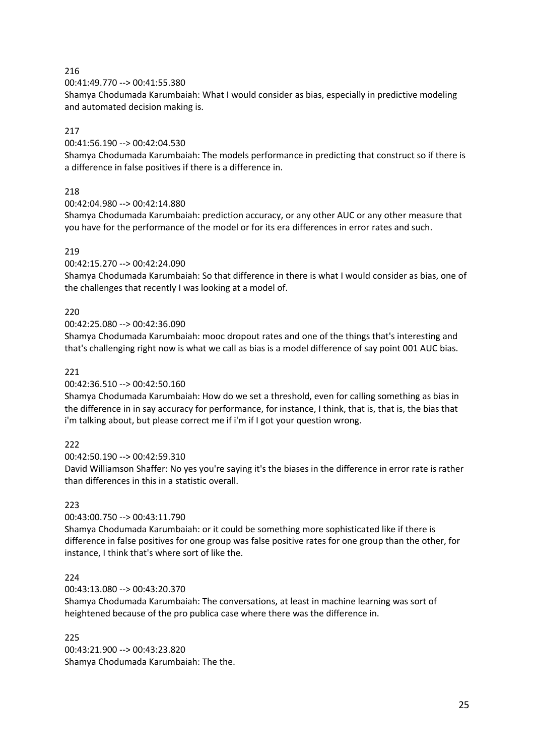00:41:49.770 --> 00:41:55.380

Shamya Chodumada Karumbaiah: What I would consider as bias, especially in predictive modeling and automated decision making is.

### 217

00:41:56.190 --> 00:42:04.530

Shamya Chodumada Karumbaiah: The models performance in predicting that construct so if there is a difference in false positives if there is a difference in.

### 218

00:42:04.980 --> 00:42:14.880

Shamya Chodumada Karumbaiah: prediction accuracy, or any other AUC or any other measure that you have for the performance of the model or for its era differences in error rates and such.

### 219

### 00:42:15.270 --> 00:42:24.090

Shamya Chodumada Karumbaiah: So that difference in there is what I would consider as bias, one of the challenges that recently I was looking at a model of.

### 220

#### 00:42:25.080 --> 00:42:36.090

Shamya Chodumada Karumbaiah: mooc dropout rates and one of the things that's interesting and that's challenging right now is what we call as bias is a model difference of say point 001 AUC bias.

### 221

### 00:42:36.510 --> 00:42:50.160

Shamya Chodumada Karumbaiah: How do we set a threshold, even for calling something as bias in the difference in in say accuracy for performance, for instance, I think, that is, that is, the bias that i'm talking about, but please correct me if i'm if I got your question wrong.

### 222

00:42:50.190 --> 00:42:59.310

David Williamson Shaffer: No yes you're saying it's the biases in the difference in error rate is rather than differences in this in a statistic overall.

### 223

### 00:43:00.750 --> 00:43:11.790

Shamya Chodumada Karumbaiah: or it could be something more sophisticated like if there is difference in false positives for one group was false positive rates for one group than the other, for instance, I think that's where sort of like the.

### 224

00:43:13.080 --> 00:43:20.370

Shamya Chodumada Karumbaiah: The conversations, at least in machine learning was sort of heightened because of the pro publica case where there was the difference in.

#### 225

00:43:21.900 --> 00:43:23.820 Shamya Chodumada Karumbaiah: The the.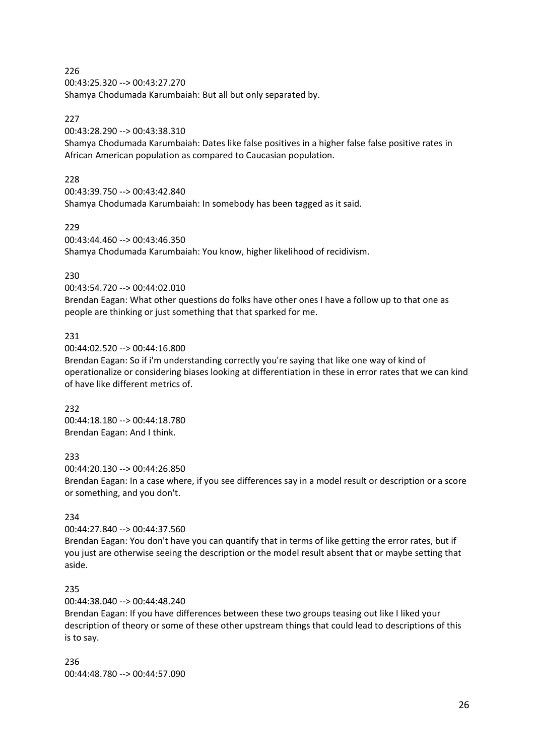00:43:25.320 --> 00:43:27.270 Shamya Chodumada Karumbaiah: But all but only separated by.

### 227

00:43:28.290 --> 00:43:38.310

Shamya Chodumada Karumbaiah: Dates like false positives in a higher false false positive rates in African American population as compared to Caucasian population.

### 228

00:43:39.750 --> 00:43:42.840

Shamya Chodumada Karumbaiah: In somebody has been tagged as it said.

### 229

00:43:44.460 --> 00:43:46.350 Shamya Chodumada Karumbaiah: You know, higher likelihood of recidivism.

### 230

00:43:54.720 --> 00:44:02.010

Brendan Eagan: What other questions do folks have other ones I have a follow up to that one as people are thinking or just something that that sparked for me.

### 231

00:44:02.520 --> 00:44:16.800

Brendan Eagan: So if i'm understanding correctly you're saying that like one way of kind of operationalize or considering biases looking at differentiation in these in error rates that we can kind of have like different metrics of.

## 232

00:44:18.180 --> 00:44:18.780 Brendan Eagan: And I think.

### 233

00:44:20.130 --> 00:44:26.850

Brendan Eagan: In a case where, if you see differences say in a model result or description or a score or something, and you don't.

### 234

00:44:27.840 --> 00:44:37.560

Brendan Eagan: You don't have you can quantify that in terms of like getting the error rates, but if you just are otherwise seeing the description or the model result absent that or maybe setting that aside.

### 235

00:44:38.040 --> 00:44:48.240

Brendan Eagan: If you have differences between these two groups teasing out like I liked your description of theory or some of these other upstream things that could lead to descriptions of this is to say.

236 00:44:48.780 --> 00:44:57.090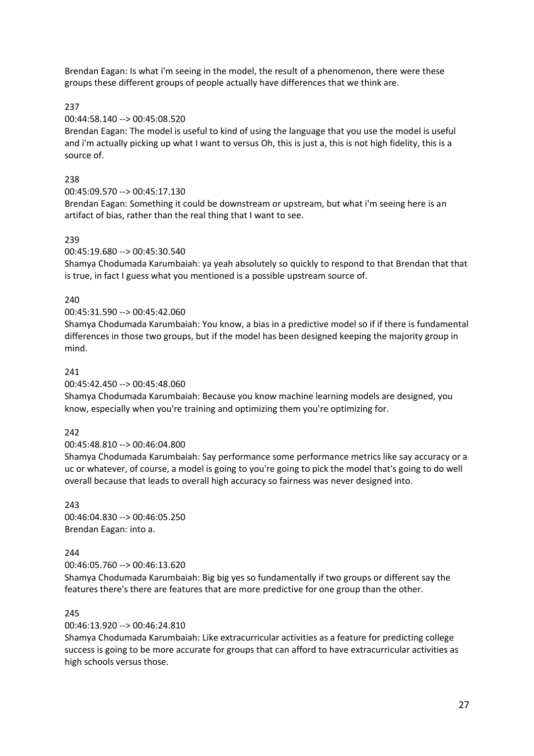Brendan Eagan: Is what i'm seeing in the model, the result of a phenomenon, there were these groups these different groups of people actually have differences that we think are.

237

### 00:44:58.140 --> 00:45:08.520

Brendan Eagan: The model is useful to kind of using the language that you use the model is useful and i'm actually picking up what I want to versus Oh, this is just a, this is not high fidelity, this is a source of.

### 238

00:45:09.570 --> 00:45:17.130

Brendan Eagan: Something it could be downstream or upstream, but what i'm seeing here is an artifact of bias, rather than the real thing that I want to see.

#### 239

#### 00:45:19.680 --> 00:45:30.540

Shamya Chodumada Karumbaiah: ya yeah absolutely so quickly to respond to that Brendan that that is true, in fact I guess what you mentioned is a possible upstream source of.

### 240

#### 00:45:31.590 --> 00:45:42.060

Shamya Chodumada Karumbaiah: You know, a bias in a predictive model so if if there is fundamental differences in those two groups, but if the model has been designed keeping the majority group in mind.

#### 241

#### 00:45:42.450 --> 00:45:48.060

Shamya Chodumada Karumbaiah: Because you know machine learning models are designed, you know, especially when you're training and optimizing them you're optimizing for.

#### $242$

#### 00:45:48.810 --> 00:46:04.800

Shamya Chodumada Karumbaiah: Say performance some performance metrics like say accuracy or a uc or whatever, of course, a model is going to you're going to pick the model that's going to do well overall because that leads to overall high accuracy so fairness was never designed into.

### $243$ 00:46:04.830 --> 00:46:05.250 Brendan Eagan: into a.

#### 244

00:46:05.760 --> 00:46:13.620

Shamya Chodumada Karumbaiah: Big big yes so fundamentally if two groups or different say the features there's there are features that are more predictive for one group than the other.

#### 245

#### 00:46:13.920 --> 00:46:24.810

Shamya Chodumada Karumbaiah: Like extracurricular activities as a feature for predicting college success is going to be more accurate for groups that can afford to have extracurricular activities as high schools versus those.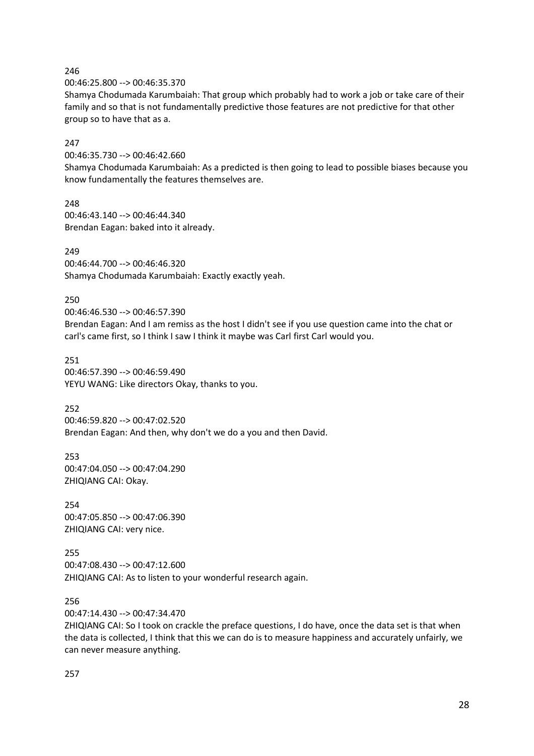00:46:25.800 --> 00:46:35.370

Shamya Chodumada Karumbaiah: That group which probably had to work a job or take care of their family and so that is not fundamentally predictive those features are not predictive for that other group so to have that as a.

### 247

00:46:35.730 --> 00:46:42.660

Shamya Chodumada Karumbaiah: As a predicted is then going to lead to possible biases because you know fundamentally the features themselves are.

248 00:46:43.140 --> 00:46:44.340 Brendan Eagan: baked into it already.

### 249

00:46:44.700 --> 00:46:46.320 Shamya Chodumada Karumbaiah: Exactly exactly yeah.

### 250

00:46:46.530 --> 00:46:57.390 Brendan Eagan: And I am remiss as the host I didn't see if you use question came into the chat or carl's came first, so I think I saw I think it maybe was Carl first Carl would you.

251 00:46:57.390 --> 00:46:59.490 YEYU WANG: Like directors Okay, thanks to you.

### 252

00:46:59.820 --> 00:47:02.520 Brendan Eagan: And then, why don't we do a you and then David.

253 00:47:04.050 --> 00:47:04.290 ZHIQIANG CAI: Okay.

254 00:47:05.850 --> 00:47:06.390 ZHIQIANG CAI: very nice.

255 00:47:08.430 --> 00:47:12.600 ZHIQIANG CAI: As to listen to your wonderful research again.

256

00:47:14.430 --> 00:47:34.470

ZHIQIANG CAI: So I took on crackle the preface questions, I do have, once the data set is that when the data is collected, I think that this we can do is to measure happiness and accurately unfairly, we can never measure anything.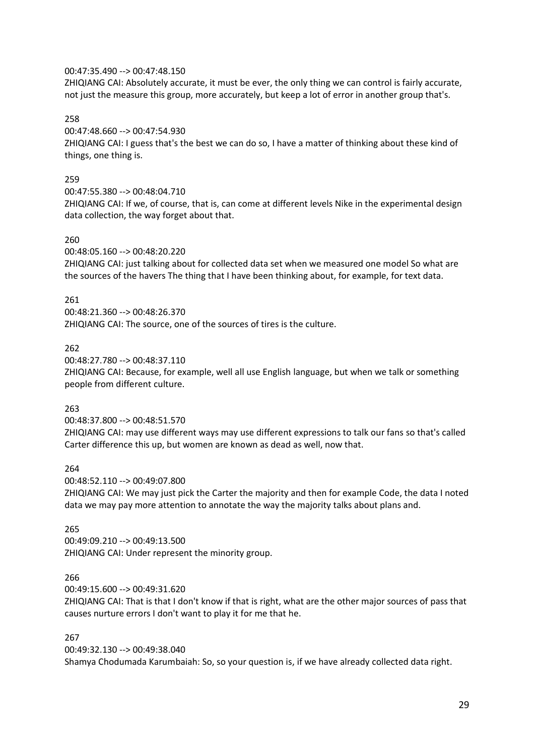#### 00:47:35.490 --> 00:47:48.150

ZHIQIANG CAI: Absolutely accurate, it must be ever, the only thing we can control is fairly accurate, not just the measure this group, more accurately, but keep a lot of error in another group that's.

258

00:47:48.660 --> 00:47:54.930

ZHIQIANG CAI: I guess that's the best we can do so, I have a matter of thinking about these kind of things, one thing is.

#### 259

00:47:55.380 --> 00:48:04.710

ZHIQIANG CAI: If we, of course, that is, can come at different levels Nike in the experimental design data collection, the way forget about that.

#### 260

00:48:05.160 --> 00:48:20.220

ZHIQIANG CAI: just talking about for collected data set when we measured one model So what are the sources of the havers The thing that I have been thinking about, for example, for text data.

#### 261

00:48:21.360 --> 00:48:26.370 ZHIQIANG CAI: The source, one of the sources of tires is the culture.

### 262

00:48:27.780 --> 00:48:37.110

ZHIQIANG CAI: Because, for example, well all use English language, but when we talk or something people from different culture.

#### 263

00:48:37.800 --> 00:48:51.570

ZHIQIANG CAI: may use different ways may use different expressions to talk our fans so that's called Carter difference this up, but women are known as dead as well, now that.

264

00:48:52.110 --> 00:49:07.800

ZHIQIANG CAI: We may just pick the Carter the majority and then for example Code, the data I noted data we may pay more attention to annotate the way the majority talks about plans and.

#### 265

00:49:09.210 --> 00:49:13.500 ZHIQIANG CAI: Under represent the minority group.

#### 266

00:49:15.600 --> 00:49:31.620

ZHIQIANG CAI: That is that I don't know if that is right, what are the other major sources of pass that causes nurture errors I don't want to play it for me that he.

#### 267

00:49:32.130 --> 00:49:38.040 Shamya Chodumada Karumbaiah: So, so your question is, if we have already collected data right.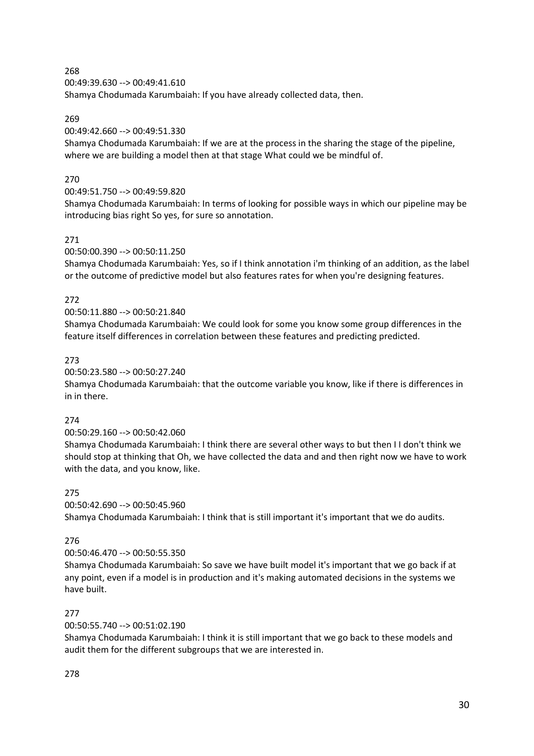00:49:39.630 --> 00:49:41.610 Shamya Chodumada Karumbaiah: If you have already collected data, then.

### 269

### 00:49:42.660 --> 00:49:51.330

Shamya Chodumada Karumbaiah: If we are at the process in the sharing the stage of the pipeline, where we are building a model then at that stage What could we be mindful of.

### 270

### 00:49:51.750 --> 00:49:59.820

Shamya Chodumada Karumbaiah: In terms of looking for possible ways in which our pipeline may be introducing bias right So yes, for sure so annotation.

### 271

### 00:50:00.390 --> 00:50:11.250

Shamya Chodumada Karumbaiah: Yes, so if I think annotation i'm thinking of an addition, as the label or the outcome of predictive model but also features rates for when you're designing features.

### 272

### 00:50:11.880 --> 00:50:21.840

Shamya Chodumada Karumbaiah: We could look for some you know some group differences in the feature itself differences in correlation between these features and predicting predicted.

### 273

### 00:50:23.580 --> 00:50:27.240

Shamya Chodumada Karumbaiah: that the outcome variable you know, like if there is differences in in in there.

### 274

### 00:50:29.160 --> 00:50:42.060

Shamya Chodumada Karumbaiah: I think there are several other ways to but then I I don't think we should stop at thinking that Oh, we have collected the data and and then right now we have to work with the data, and you know, like.

### 275

### 00:50:42.690 --> 00:50:45.960

Shamya Chodumada Karumbaiah: I think that is still important it's important that we do audits.

### 276

### 00:50:46.470 --> 00:50:55.350

Shamya Chodumada Karumbaiah: So save we have built model it's important that we go back if at any point, even if a model is in production and it's making automated decisions in the systems we have built.

### 277

### 00:50:55.740 --> 00:51:02.190

Shamya Chodumada Karumbaiah: I think it is still important that we go back to these models and audit them for the different subgroups that we are interested in.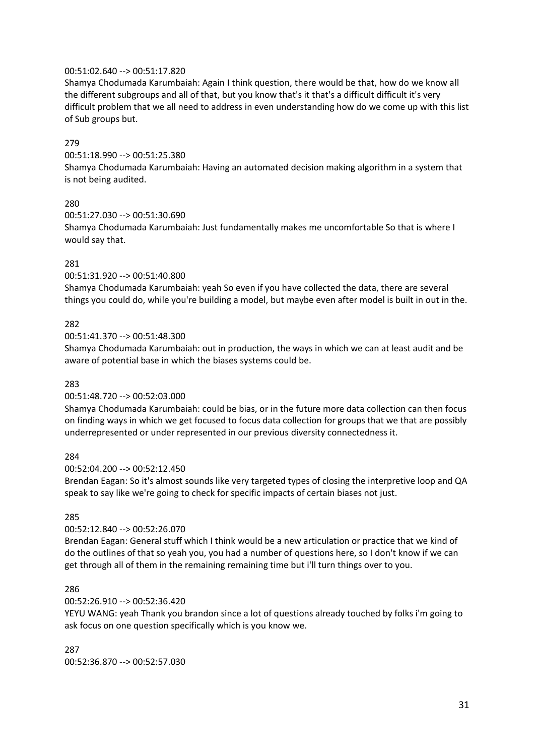#### 00:51:02.640 --> 00:51:17.820

Shamya Chodumada Karumbaiah: Again I think question, there would be that, how do we know all the different subgroups and all of that, but you know that's it that's a difficult difficult it's very difficult problem that we all need to address in even understanding how do we come up with this list of Sub groups but.

### 279

00:51:18.990 --> 00:51:25.380

Shamya Chodumada Karumbaiah: Having an automated decision making algorithm in a system that is not being audited.

#### 280

00:51:27.030 --> 00:51:30.690

Shamya Chodumada Karumbaiah: Just fundamentally makes me uncomfortable So that is where I would say that.

#### 281

00:51:31.920 --> 00:51:40.800

Shamya Chodumada Karumbaiah: yeah So even if you have collected the data, there are several things you could do, while you're building a model, but maybe even after model is built in out in the.

#### 282

00:51:41.370 --> 00:51:48.300

Shamya Chodumada Karumbaiah: out in production, the ways in which we can at least audit and be aware of potential base in which the biases systems could be.

#### 283

#### 00:51:48.720 --> 00:52:03.000

Shamya Chodumada Karumbaiah: could be bias, or in the future more data collection can then focus on finding ways in which we get focused to focus data collection for groups that we that are possibly underrepresented or under represented in our previous diversity connectedness it.

#### 284

#### 00:52:04.200 --> 00:52:12.450

Brendan Eagan: So it's almost sounds like very targeted types of closing the interpretive loop and QA speak to say like we're going to check for specific impacts of certain biases not just.

#### 285

#### 00:52:12.840 --> 00:52:26.070

Brendan Eagan: General stuff which I think would be a new articulation or practice that we kind of do the outlines of that so yeah you, you had a number of questions here, so I don't know if we can get through all of them in the remaining remaining time but i'll turn things over to you.

#### 286

#### 00:52:26.910 --> 00:52:36.420

YEYU WANG: yeah Thank you brandon since a lot of questions already touched by folks i'm going to ask focus on one question specifically which is you know we.

287 00:52:36.870 --> 00:52:57.030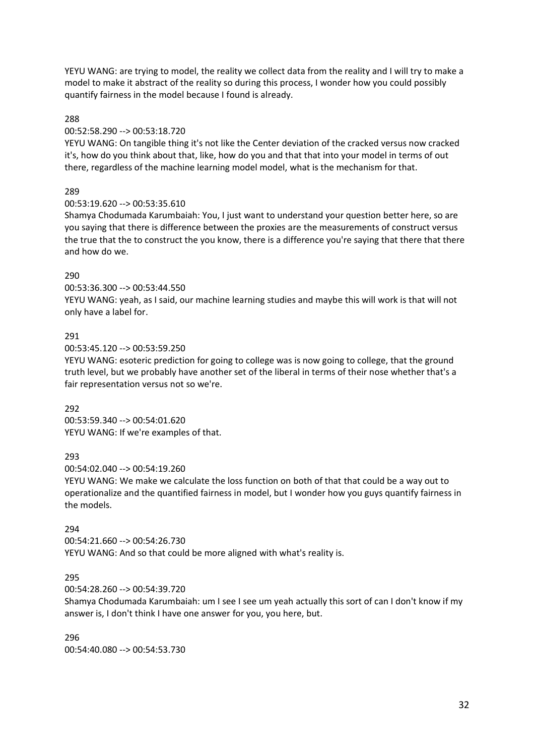YEYU WANG: are trying to model, the reality we collect data from the reality and I will try to make a model to make it abstract of the reality so during this process, I wonder how you could possibly quantify fairness in the model because I found is already.

#### 288

#### 00:52:58.290 --> 00:53:18.720

YEYU WANG: On tangible thing it's not like the Center deviation of the cracked versus now cracked it's, how do you think about that, like, how do you and that that into your model in terms of out there, regardless of the machine learning model model, what is the mechanism for that.

#### 289

#### 00:53:19.620 --> 00:53:35.610

Shamya Chodumada Karumbaiah: You, I just want to understand your question better here, so are you saying that there is difference between the proxies are the measurements of construct versus the true that the to construct the you know, there is a difference you're saying that there that there and how do we.

#### 290

#### 00:53:36.300 --> 00:53:44.550

YEYU WANG: yeah, as I said, our machine learning studies and maybe this will work is that will not only have a label for.

#### 291

00:53:45.120 --> 00:53:59.250

YEYU WANG: esoteric prediction for going to college was is now going to college, that the ground truth level, but we probably have another set of the liberal in terms of their nose whether that's a fair representation versus not so we're.

#### 292

00:53:59.340 --> 00:54:01.620 YEYU WANG: If we're examples of that.

#### 293

00:54:02.040 --> 00:54:19.260

YEYU WANG: We make we calculate the loss function on both of that that could be a way out to operationalize and the quantified fairness in model, but I wonder how you guys quantify fairness in the models.

#### 294

00:54:21.660 --> 00:54:26.730 YEYU WANG: And so that could be more aligned with what's reality is.

#### 295

00:54:28.260 --> 00:54:39.720

Shamya Chodumada Karumbaiah: um I see I see um yeah actually this sort of can I don't know if my answer is, I don't think I have one answer for you, you here, but.

### 296

00:54:40.080 --> 00:54:53.730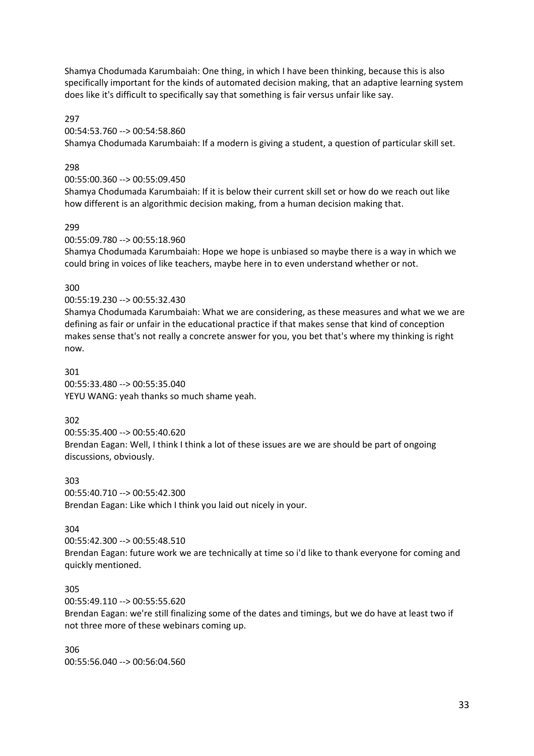Shamya Chodumada Karumbaiah: One thing, in which I have been thinking, because this is also specifically important for the kinds of automated decision making, that an adaptive learning system does like it's difficult to specifically say that something is fair versus unfair like say.

297

00:54:53.760 --> 00:54:58.860

Shamya Chodumada Karumbaiah: If a modern is giving a student, a question of particular skill set.

### 298

00:55:00.360 --> 00:55:09.450

Shamya Chodumada Karumbaiah: If it is below their current skill set or how do we reach out like how different is an algorithmic decision making, from a human decision making that.

#### 299

00:55:09.780 --> 00:55:18.960

Shamya Chodumada Karumbaiah: Hope we hope is unbiased so maybe there is a way in which we could bring in voices of like teachers, maybe here in to even understand whether or not.

#### 300

00:55:19.230 --> 00:55:32.430

Shamya Chodumada Karumbaiah: What we are considering, as these measures and what we we are defining as fair or unfair in the educational practice if that makes sense that kind of conception makes sense that's not really a concrete answer for you, you bet that's where my thinking is right now.

301 00:55:33.480 --> 00:55:35.040 YEYU WANG: yeah thanks so much shame yeah.

#### 302

00:55:35.400 --> 00:55:40.620 Brendan Eagan: Well, I think I think a lot of these issues are we are should be part of ongoing discussions, obviously.

303 00:55:40.710 --> 00:55:42.300 Brendan Eagan: Like which I think you laid out nicely in your.

#### 304

00:55:42.300 --> 00:55:48.510

Brendan Eagan: future work we are technically at time so i'd like to thank everyone for coming and quickly mentioned.

#### 305

00:55:49.110 --> 00:55:55.620

Brendan Eagan: we're still finalizing some of the dates and timings, but we do have at least two if not three more of these webinars coming up.

306 00:55:56.040 --> 00:56:04.560